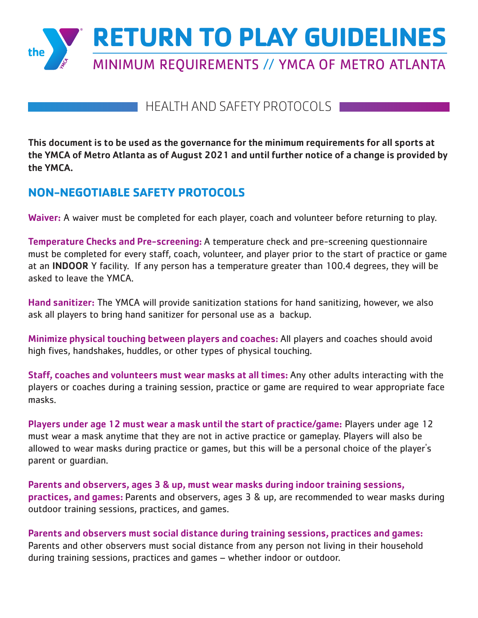

# HEALTH AND SAFETY PROTOCOLS

This document is to be used as the governance for the minimum requirements for all sports at the YMCA of Metro Atlanta as of August 2021 and until further notice of a change is provided by the YMCA.

# **NON-NEGOTIABLE SAFETY PROTOCOLS**

Waiver: A waiver must be completed for each player, coach and volunteer before returning to play.

Temperature Checks and Pre-screening: A temperature check and pre-screening questionnaire must be completed for every staff, coach, volunteer, and player prior to the start of practice or game at an INDOOR Y facility. If any person has a temperature greater than 100.4 degrees, they will be asked to leave the YMCA.

Hand sanitizer: The YMCA will provide sanitization stations for hand sanitizing, however, we also ask all players to bring hand sanitizer for personal use as a backup.

Minimize physical touching between players and coaches: All players and coaches should avoid high fives, handshakes, huddles, or other types of physical touching.

Staff, coaches and volunteers must wear masks at all times: Any other adults interacting with the players or coaches during a training session, practice or game are required to wear appropriate face masks.

Players under age 12 must wear a mask until the start of practice/game: Players under age 12 must wear a mask anytime that they are not in active practice or gameplay. Players will also be allowed to wear masks during practice or games, but this will be a personal choice of the player's parent or guardian.

Parents and observers, ages 3 & up, must wear masks during indoor training sessions, practices, and games: Parents and observers, ages 3 & up, are recommended to wear masks during outdoor training sessions, practices, and games.

Parents and observers must social distance during training sessions, practices and games: Parents and other observers must social distance from any person not living in their household during training sessions, practices and games – whether indoor or outdoor.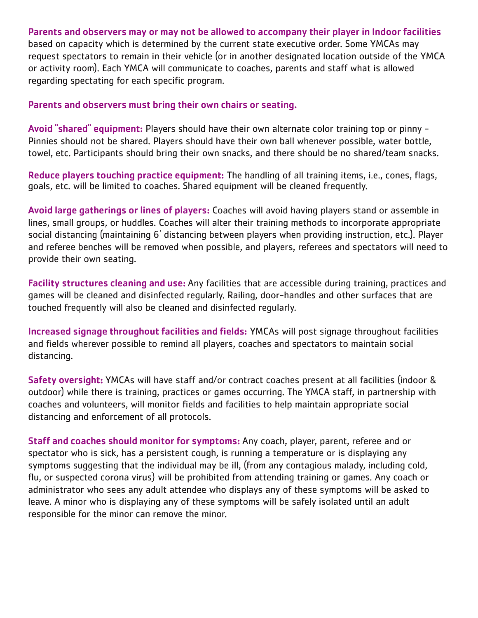#### Parents and observers may or may not be allowed to accompany their player in Indoor facilities

based on capacity which is determined by the current state executive order. Some YMCAs may request spectators to remain in their vehicle (or in another designated location outside of the YMCA or activity room). Each YMCA will communicate to coaches, parents and staff what is allowed regarding spectating for each specific program.

#### Parents and observers must bring their own chairs or seating.

Avoid "shared" equipment: Players should have their own alternate color training top or pinny -Pinnies should not be shared. Players should have their own ball whenever possible, water bottle, towel, etc. Participants should bring their own snacks, and there should be no shared/team snacks.

Reduce players touching practice equipment: The handling of all training items, i.e., cones, flags, goals, etc. will be limited to coaches. Shared equipment will be cleaned frequently.

Avoid large gatherings or lines of players: Coaches will avoid having players stand or assemble in lines, small groups, or huddles. Coaches will alter their training methods to incorporate appropriate social distancing (maintaining 6' distancing between players when providing instruction, etc.). Player and referee benches will be removed when possible, and players, referees and spectators will need to provide their own seating.

Facility structures cleaning and use: Any facilities that are accessible during training, practices and games will be cleaned and disinfected regularly. Railing, door-handles and other surfaces that are touched frequently will also be cleaned and disinfected regularly.

Increased signage throughout facilities and fields: YMCAs will post signage throughout facilities and fields wherever possible to remind all players, coaches and spectators to maintain social distancing.

Safety oversight: YMCAs will have staff and/or contract coaches present at all facilities (indoor & outdoor) while there is training, practices or games occurring. The YMCA staff, in partnership with coaches and volunteers, will monitor fields and facilities to help maintain appropriate social distancing and enforcement of all protocols.

Staff and coaches should monitor for symptoms: Any coach, player, parent, referee and or spectator who is sick, has a persistent cough, is running a temperature or is displaying any symptoms suggesting that the individual may be ill, (from any contagious malady, including cold, flu, or suspected corona virus} will be prohibited from attending training or games. Any coach or administrator who sees any adult attendee who displays any of these symptoms will be asked to leave. A minor who is displaying any of these symptoms will be safely isolated until an adult responsible for the minor can remove the minor.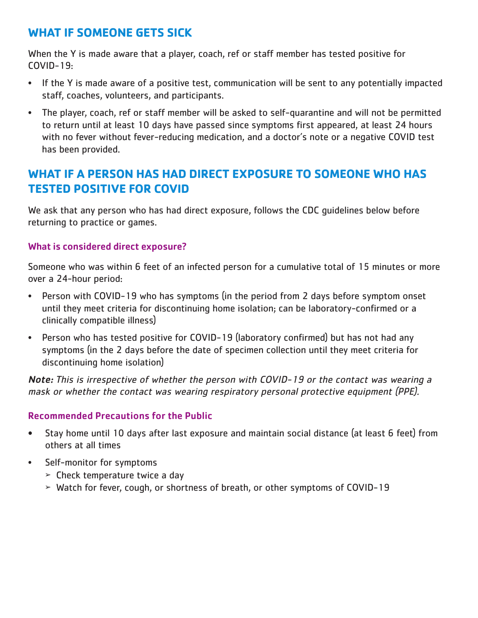# **WHAT IF SOMEONE GETS SICK**

When the Y is made aware that a player, coach, ref or staff member has tested positive for COVID-19:

- If the Y is made aware of a positive test, communication will be sent to any potentially impacted staff, coaches, volunteers, and participants.
- The player, coach, ref or staff member will be asked to self-quarantine and will not be permitted to return until at least 10 days have passed since symptoms first appeared, at least 24 hours with no fever without fever-reducing medication, and a doctor's note or a negative COVID test has been provided.

### **WHAT IF A PERSON HAS HAD DIRECT EXPOSURE TO SOMEONE WHO HAS TESTED POSITIVE FOR COVID**

We ask that any person who has had direct exposure, follows the CDC guidelines below before returning to practice or games.

#### What is considered direct exposure?

Someone who was within 6 feet of an infected person for a cumulative total of 15 minutes or more over a 24-hour period:

- Person with COVID-19 who has symptoms (in the period from 2 days before symptom onset until they meet criteria for discontinuing home isolation; can be laboratory-confirmed or a clinically compatible illness)
- Person who has tested positive for COVID-19 (laboratory confirmed) but has not had any symptoms (in the 2 days before the date of specimen collection until they meet criteria for discontinuing home isolation)

Note: This is irrespective of whether the person with COVID-19 or the contact was wearing a mask or whether the contact was wearing respiratory personal protective equipment (PPE).

### Recommended Precautions for the Public

- Stay home until 10 days after last exposure and maintain social distance (at least 6 feet) from others at all times
- Self-monitor for symptoms
	- $\geq$  Check temperature twice a day
	- ➢ Watch for fever, cough, or shortness of breath, or other symptoms of COVID-19